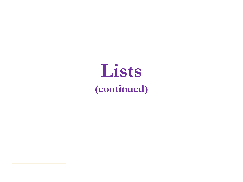# **Lists (continued)**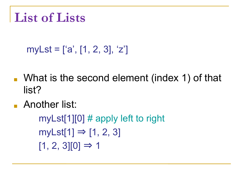## **List of Lists**

### myLst = ['a', [1, 2, 3], 'z']

- What is the second element (index 1) of that list?
- Another list:

myLst[1][0]  $\#$  apply left to right  $myLst[1] \Rightarrow [1, 2, 3]$  $[1, 2, 3][0] \Rightarrow 1$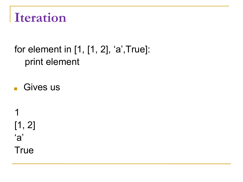

#### for element in [1, [1, 2], 'a',True]: print element

■ Gives us

1 [1, 2] 'a' **True**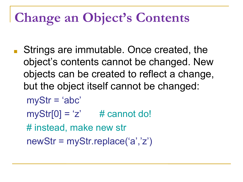## **Change an Object's Contents**

Strings are immutable. Once created, the object's contents cannot be changed. New objects can be created to reflect a change, but the object itself cannot be changed:

```
myStr = 'abc'
```
- $myStr[0] = 'z'$  # cannot do!
- # instead, make new str

newStr = myStr.replace('a','z')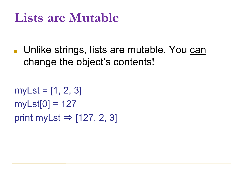### **Lists are Mutable**

■ Unlike strings, lists are mutable. You can change the object's contents!

```
myLst = [1, 2, 3]myLst[0] = 127print myLst \Rightarrow [127, 2, 3]
```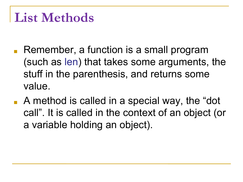## **List Methods**

- Remember, a function is a small program (such as len) that takes some arguments, the stuff in the parenthesis, and returns some value.
- A method is called in a special way, the "dot call". It is called in the context of an object (or a variable holding an object).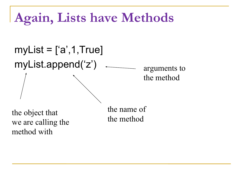## **Again, Lists have Methods**

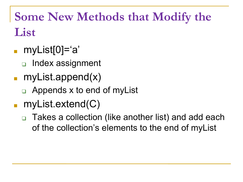## **Some New Methods that Modify the List**

- myList[0]='a'
	- ❑ Index assignment
- myList.append(x)
	- ❑ Appends x to end of myList
- myList.extend(C)
	- ❑ Takes a collection (like another list) and add each of the collection's elements to the end of myList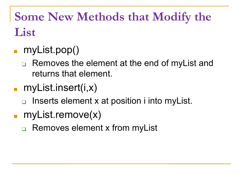**Some New Methods that Modify the List**

- myList.pop()
	- Removes the element at the end of myList and returns that element.
- myList.insert(i,x)
	- ❑ Inserts element x at position i into myList.
- myList.remove(x)
	- Removes element x from myList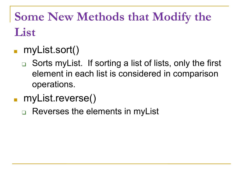**Some New Methods that Modify the List**

### ■ myList.sort()

- ❑ Sorts myList. If sorting a list of lists, only the first element in each list is considered in comparison operations.
- myList.reverse()
	- Reverses the elements in myList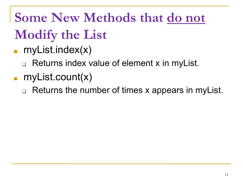**Some New Methods that do not Modify the List**

- $myList.index(x)$ 
	- Returns index value of element x in myList.
- myList.count(x)
	- ❑ Returns the number of times x appears in myList.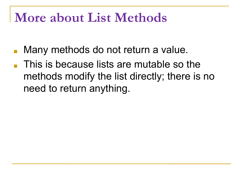## **More about List Methods**

- Many methods do not return a value.
- This is because lists are mutable so the methods modify the list directly; there is no need to return anything.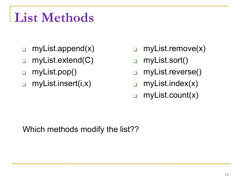## **List Methods**

- ❑ myList.append(x)
- ❑ myList.extend(C)
- ❑ myList.pop()
- ❑ myList.insert(i,x)
- ❑ myList.remove(x)
- ❑ myList.sort()
- ❑ myList.reverse()
- ❑ myList.index(x)
- ❑ myList.count(x)

Which methods modify the list??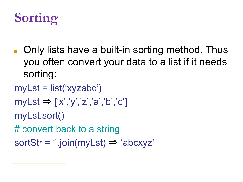## **Sorting**

■ Only lists have a built-in sorting method. Thus you often convert your data to a list if it needs sorting:

```
myLst = list('xyzabc')
```

```
myLst \Rightarrow ['x', 'y', 'z', 'a', 'b', 'c']
```

```
myLst.sort()
```
# convert back to a string

sortStr =  $"$ .join(myLst)  $\Rightarrow$  'abcxyz'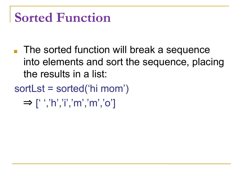## **Sorted Function**

- The sorted function will break a sequence into elements and sort the sequence, placing the results in a list:
- sortLst = sorted('hi mom')  $\Rightarrow$  [' ','h','i','m','m','o']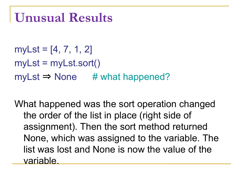## **Unusual Results**

myLst =  $[4, 7, 1, 2]$ myLst = myLst.sort()  $myLst \Rightarrow None$  # what happened?

What happened was the sort operation changed the order of the list in place (right side of assignment). Then the sort method returned None, which was assigned to the variable. The list was lost and None is now the value of the variable.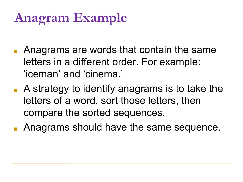# **Anagram Example**

- Anagrams are words that contain the same letters in a different order. For example: 'iceman' and 'cinema.'
- A strategy to identify anagrams is to take the letters of a word, sort those letters, then compare the sorted sequences.
- Anagrams should have the same sequence.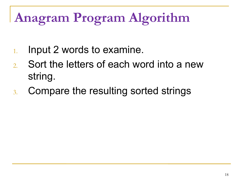# **Anagram Program Algorithm**

- 1. Input 2 words to examine.
- 2. Sort the letters of each word into a new string.
- 3. Compare the resulting sorted strings